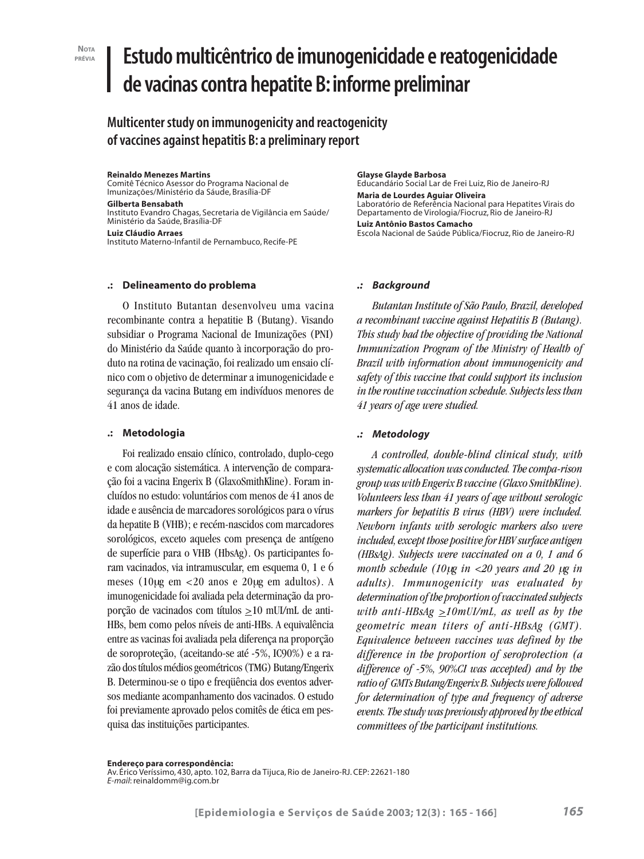#### **NOTA PRÉVIA**

# **Estudo multicêntrico de imunogenicidade e reatogenicidade de vacinas contra hepatite B: informe preliminar**

**Multicenter study on immunogenicity and reactogenicity of vaccines against hepatitis B: a preliminary report**

## **Reinaldo Menezes Martins**

Comitê Técnico Asessor do Programa Nacional de Imunizações/Ministério da Sáude, Brasília-DF

## **Gilberta Bensabath**

Instituto Evandro Chagas, Secretaria de Vigilância em Saúde/ Ministério da Saúde, Brasília-DF

**Luiz Cláudio Arraes** Instituto Materno-Infantil de Pernambuco, Recife-PE

# **.: Delineamento do problema**

O Instituto Butantan desenvolveu uma vacina recombinante contra a hepatitie B (Butang). Visando subsidiar o Programa Nacional de Imunizações (PNI) do Ministério da Saúde quanto à incorporação do produto na rotina de vacinação, foi realizado um ensaio clínico com o objetivo de determinar a imunogenicidade e segurança da vacina Butang em indivíduos menores de 41 anos de idade.

# **.: Metodologia**

Foi realizado ensaio clínico, controlado, duplo-cego e com alocação sistemática. A intervenção de comparação foi a vacina Engerix B (GlaxoSmithKline). Foram incluídos no estudo: voluntários com menos de 41 anos de idade e ausência de marcadores sorológicos para o vírus da hepatite B (VHB); e recém-nascidos com marcadores sorológicos, exceto aqueles com presença de antígeno de superfície para o VHB (HbsAg). Os participantes foram vacinados, via intramuscular, em esquema 0, 1 e 6 meses (10µg em <20 anos e 20µg em adultos). A imunogenicidade foi avaliada pela determinação da proporção de vacinados com títulos >10 mUI/mL de anti-HBs, bem como pelos níveis de anti-HBs. A equivalência entre as vacinas foi avaliada pela diferença na proporção de soroproteção, (aceitando-se até -5%, IC90%) e a razão dos títulos médios geométricos (TMG) Butang/Engerix B. Determinou-se o tipo e freqüência dos eventos adversos mediante acompanhamento dos vacinados. O estudo foi previamente aprovado pelos comitês de ética em pesquisa das instituições participantes.

#### **Glayse Glayde Barbosa**

Educandário Social Lar de Frei Luiz, Rio de Janeiro-RJ **Maria de Lourdes Aguiar Oliveira** Laboratório de Referência Nacional para Hepatites Virais do Departamento de Virologia/Fiocruz, Rio de Janeiro-RJ **Luiz Antônio Bastos Camacho** Escola Nacional de Saúde Pública/Fiocruz, Rio de Janeiro-RJ

## *.: Background*

*Butantan Institute of São Paulo, Brazil, developed a recombinant vaccine against Hepatitis B (Butang). This study had the objective of providing the National Immunization Program of the Ministry of Health of Brazil with information about immunogenicity and safety of this vaccine that could support its inclusion in the routine vaccination schedule. Subjects less than 41 years of age were studied.*

# *.: Metodology*

*A controlled, double-blind clinical study, with systematic allocation was conducted. The compa-rison group was with Engerix B vaccine (Glaxo SmithKline). Volunteers less than 41 years of age without serologic markers for hepatitis B virus (HBV) were included. Newborn infants with serologic markers also were included, except those positive for HBV surface antigen (HBsAg). Subjects were vaccinated on a 0, 1 and 6 month schedule (10*µ*g in <20 years and 20* µ*g in adults). Immunogenicity was evaluated by determination of the proportion of vaccinated subjects with anti-HBsAg >10mUI/mL, as well as by the geometric mean titers of anti-HBsAg (GMT). Equivalence between vaccines was defined by the difference in the proportion of seroprotection (a difference of -5%, 90%CI was accepted) and by the ratio of GMTs Butang/Engerix B. Subjects were followed for determination of type and frequency of adverse events. The study was previously approved by the ethical committees of the participant institutions.*

Av. Érico Veríssimo, 430, apto. 102, Barra da Tijuca, Rio de Janeiro-RJ. CEP: 22621-180 *E-mail*: reinaldomm@ig.com.br